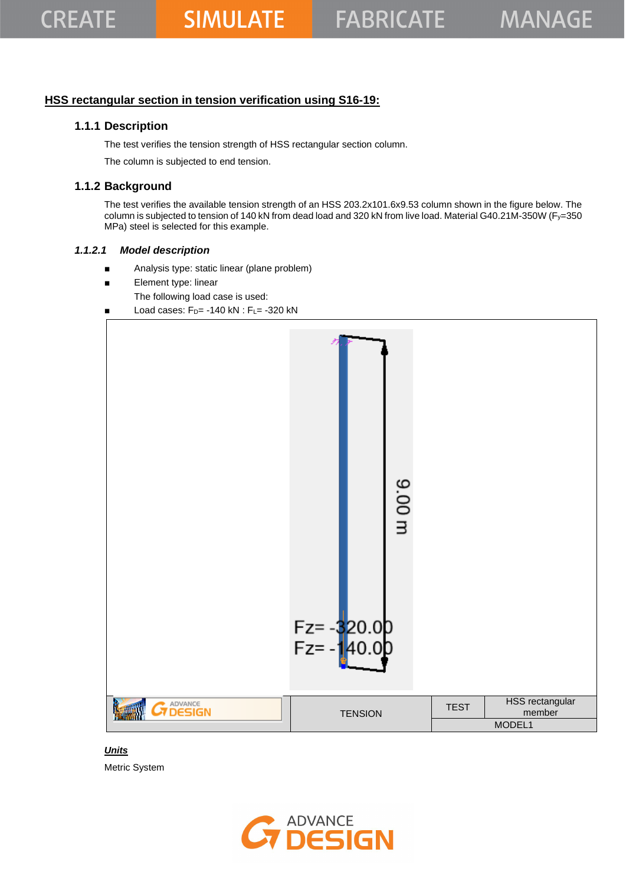## **HSS rectangular section in tension verification using S16-19:**

### **1.1.1 Description**

The test verifies the tension strength of HSS rectangular section column.

The column is subjected to end tension.

## **1.1.2 Background**

The test verifies the available tension strength of an HSS 203.2x101.6x9.53 column shown in the figure below. The column is subjected to tension of 140 kN from dead load and 320 kN from live load. Material G40.21M-350W (Fy=350 MPa) steel is selected for this example.

### *1.1.2.1 Model description*

- Analysis type: static linear (plane problem)
- Element type: linear
	- The following load case is used:
- Load cases:  $F_D$ = -140 kN :  $F_L$ = -320 kN



### *Units*

Metric System

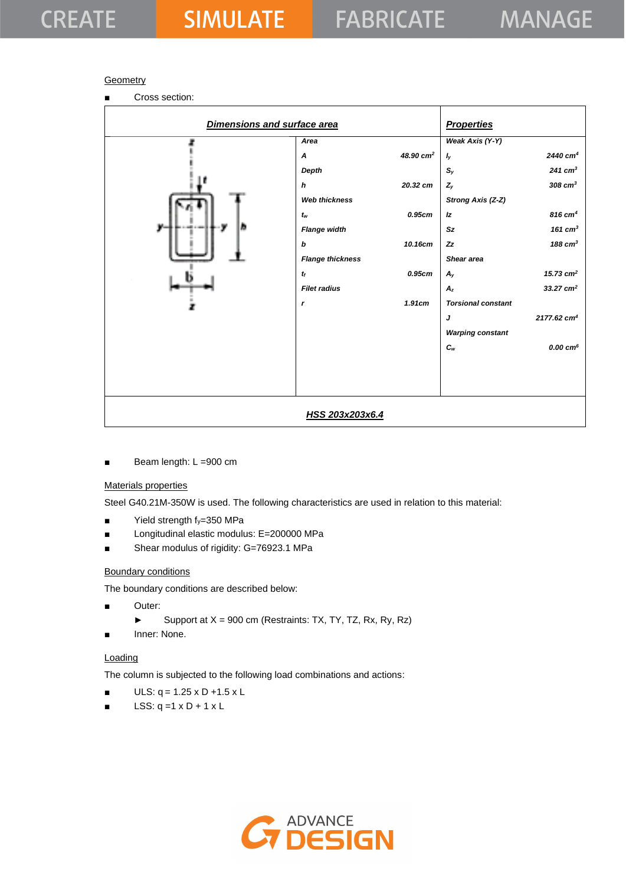### **Geometry**

■ Cross section:

| Dimensions and surface area |                         |                       | <b>Properties</b>         |                           |
|-----------------------------|-------------------------|-----------------------|---------------------------|---------------------------|
|                             | Area                    |                       | Weak Axis (Y-Y)           |                           |
|                             | A                       | 48.90 cm <sup>2</sup> | $I_{y}$                   | 2440 cm <sup>4</sup>      |
|                             | Depth                   |                       | $S_{y}$                   | $241$ cm <sup>3</sup>     |
|                             | h                       | 20.32 cm              | $Z_{y}$                   | $308$ $cm3$               |
|                             | <b>Web thickness</b>    |                       | Strong Axis (Z-Z)         |                           |
|                             | $t_w$                   | 0.95cm                | Iz                        | $816$ cm <sup>4</sup>     |
| b<br>y.                     | <b>Flange width</b>     |                       | Sz                        | 161 $cm3$                 |
|                             | b                       | 10.16cm               | z <sub>z</sub>            | 188 $cm3$                 |
|                             | <b>Flange thickness</b> |                       | Shear area                |                           |
|                             | $t_f$                   | 0.95cm                | $A_{y}$                   | 15.73 $cm2$               |
|                             | <b>Filet radius</b>     |                       | $A_z$                     | 33.27 $cm2$               |
|                             | r                       | 1.91cm                | <b>Torsional constant</b> |                           |
|                             |                         |                       | J                         | $2177.62$ cm <sup>4</sup> |
|                             |                         |                       | <b>Warping constant</b>   |                           |
|                             |                         |                       | $c_{w}$                   | 0.00 cm <sup>6</sup>      |
|                             |                         |                       |                           |                           |
|                             |                         |                       |                           |                           |
|                             |                         |                       |                           |                           |
|                             |                         |                       |                           |                           |
|                             | HSS 203x203x6.4         |                       |                           |                           |

Beam length: L =900 cm

### Materials properties

Steel G40.21M-350W is used. The following characteristics are used in relation to this material:

- $\blacksquare$  Yield strength f<sub>y</sub>=350 MPa
- Longitudinal elastic modulus: E=200000 MPa
- Shear modulus of rigidity: G=76923.1 MPa

### Boundary conditions

The boundary conditions are described below:

- Outer:
	- ► Support at  $X = 900$  cm (Restraints: TX, TY, TZ, Rx, Ry, Rz)
- Inner: None.

### **Loading**

The column is subjected to the following load combinations and actions:

- $ULS: q = 1.25 \times D + 1.5 \times L$
- $\blacksquare$  LSS: q =1 x D + 1 x L

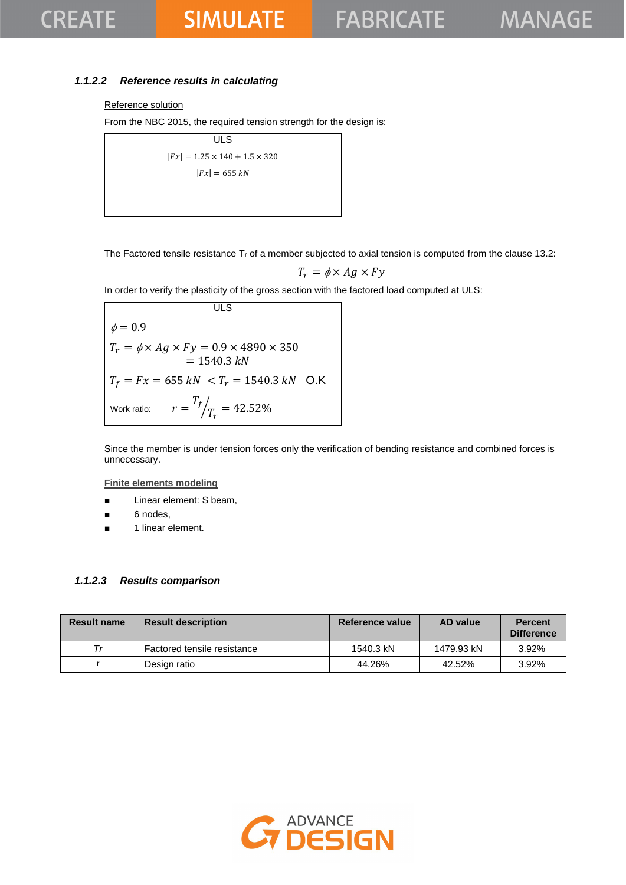## **SIMULATE**

### *1.1.2.2 Reference results in calculating*

### Reference solution

From the NBC 2015, the required tension strength for the design is:

| ULS                                       |  |
|-------------------------------------------|--|
| $ Fx  = 1.25 \times 140 + 1.5 \times 320$ |  |
| $ Fx  = 655 kN$                           |  |
|                                           |  |
|                                           |  |

The Factored tensile resistance  $T_r$  of a member subjected to axial tension is computed from the clause 13.2:

$$
T_r = \phi \times Ag \times Fy
$$

In order to verify the plasticity of the gross section with the factored load computed at ULS:

**ULS**  $\phi = 0.9$  $T_r = \phi \times Ag \times Fy = 0.9 \times 4890 \times 350$  $= 1540.3 kN$  $T_f = Fx = 655 kN < T_r = 1540.3 kN$  O.K Work ratio:  $T_f$  $\sqrt{T_r}$  = 42.52%

Since the member is under tension forces only the verification of bending resistance and combined forces is unnecessary.

**Finite elements modeling**

- Linear element: S beam,
- 6 nodes,
- 1 linear element.

### *1.1.2.3 Results comparison*

| <b>Result name</b> | <b>Result description</b>   | Reference value | AD value   | <b>Percent</b><br><b>Difference</b> |
|--------------------|-----------------------------|-----------------|------------|-------------------------------------|
| Тr                 | Factored tensile resistance | 1540.3 kN       | 1479.93 kN | 3.92%                               |
|                    | Design ratio                | 44.26%          | 42.52%     | 3.92%                               |